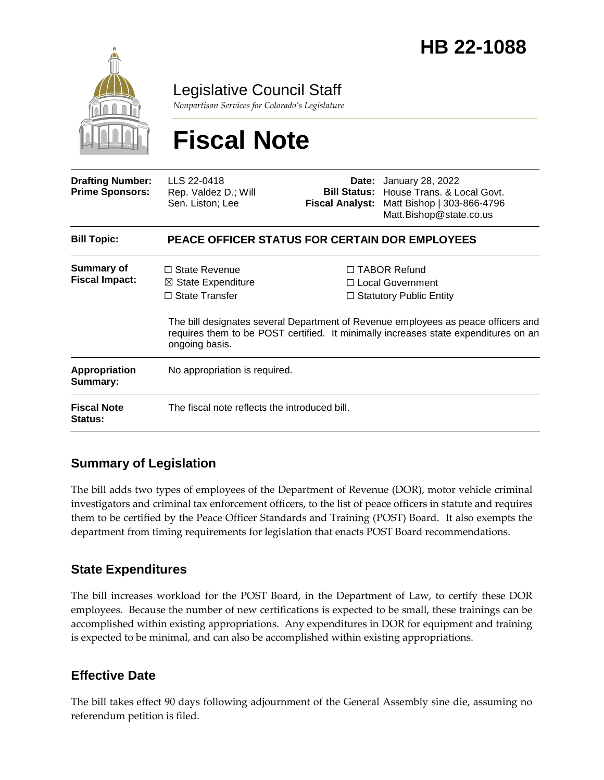

Legislative Council Staff

*Nonpartisan Services for Colorado's Legislature*

# **Fiscal Note**

| <b>Drafting Number:</b><br><b>Prime Sponsors:</b> | LLS 22-0418<br>Rep. Valdez D.; Will<br>Sen. Liston; Lee                                          |  | <b>Date:</b> January 28, 2022<br><b>Bill Status:</b> House Trans, & Local Govt.<br>Fiscal Analyst: Matt Bishop   303-866-4796<br>Matt.Bishop@state.co.us                                                                                                     |
|---------------------------------------------------|--------------------------------------------------------------------------------------------------|--|--------------------------------------------------------------------------------------------------------------------------------------------------------------------------------------------------------------------------------------------------------------|
| <b>Bill Topic:</b>                                | <b>PEACE OFFICER STATUS FOR CERTAIN DOR EMPLOYEES</b>                                            |  |                                                                                                                                                                                                                                                              |
| <b>Summary of</b><br><b>Fiscal Impact:</b>        | $\Box$ State Revenue<br>$\boxtimes$ State Expenditure<br>$\Box$ State Transfer<br>ongoing basis. |  | $\Box$ TABOR Refund<br>$\Box$ Local Government<br>$\Box$ Statutory Public Entity<br>The bill designates several Department of Revenue employees as peace officers and<br>requires them to be POST certified. It minimally increases state expenditures on an |
| <b>Appropriation</b><br>Summary:                  | No appropriation is required.                                                                    |  |                                                                                                                                                                                                                                                              |
| <b>Fiscal Note</b><br><b>Status:</b>              | The fiscal note reflects the introduced bill.                                                    |  |                                                                                                                                                                                                                                                              |

### **Summary of Legislation**

The bill adds two types of employees of the Department of Revenue (DOR), motor vehicle criminal investigators and criminal tax enforcement officers, to the list of peace officers in statute and requires them to be certified by the Peace Officer Standards and Training (POST) Board. It also exempts the department from timing requirements for legislation that enacts POST Board recommendations.

#### **State Expenditures**

The bill increases workload for the POST Board, in the Department of Law, to certify these DOR employees. Because the number of new certifications is expected to be small, these trainings can be accomplished within existing appropriations. Any expenditures in DOR for equipment and training is expected to be minimal, and can also be accomplished within existing appropriations.

#### **Effective Date**

The bill takes effect 90 days following adjournment of the General Assembly sine die, assuming no referendum petition is filed.